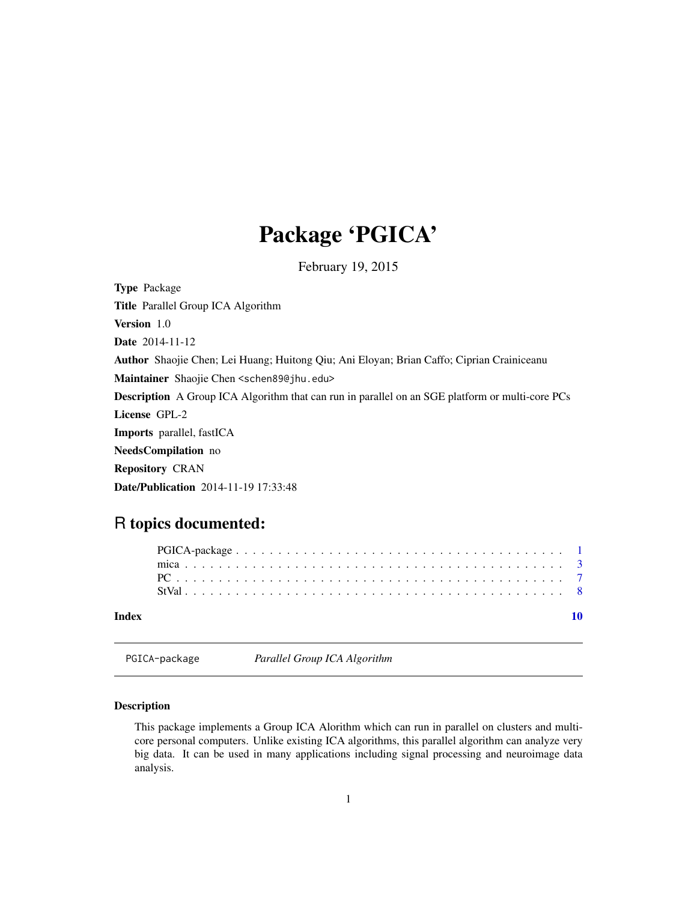## Package 'PGICA'

February 19, 2015

<span id="page-0-0"></span>Type Package Title Parallel Group ICA Algorithm Version 1.0 Date 2014-11-12 Author Shaojie Chen; Lei Huang; Huitong Qiu; Ani Eloyan; Brian Caffo; Ciprian Crainiceanu Maintainer Shaojie Chen <schen89@jhu.edu> Description A Group ICA Algorithm that can run in parallel on an SGE platform or multi-core PCs License GPL-2 Imports parallel, fastICA NeedsCompilation no Repository CRAN Date/Publication 2014-11-19 17:33:48

### R topics documented:

| Index |  |  |  |  |  |  |  |  |  |  |  |  |  |  |  |  |  |  |  |  |  |  |
|-------|--|--|--|--|--|--|--|--|--|--|--|--|--|--|--|--|--|--|--|--|--|--|
|       |  |  |  |  |  |  |  |  |  |  |  |  |  |  |  |  |  |  |  |  |  |  |
|       |  |  |  |  |  |  |  |  |  |  |  |  |  |  |  |  |  |  |  |  |  |  |
|       |  |  |  |  |  |  |  |  |  |  |  |  |  |  |  |  |  |  |  |  |  |  |
|       |  |  |  |  |  |  |  |  |  |  |  |  |  |  |  |  |  |  |  |  |  |  |

PGICA-package *Parallel Group ICA Algorithm*

#### Description

This package implements a Group ICA Alorithm which can run in parallel on clusters and multicore personal computers. Unlike existing ICA algorithms, this parallel algorithm can analyze very big data. It can be used in many applications including signal processing and neuroimage data analysis.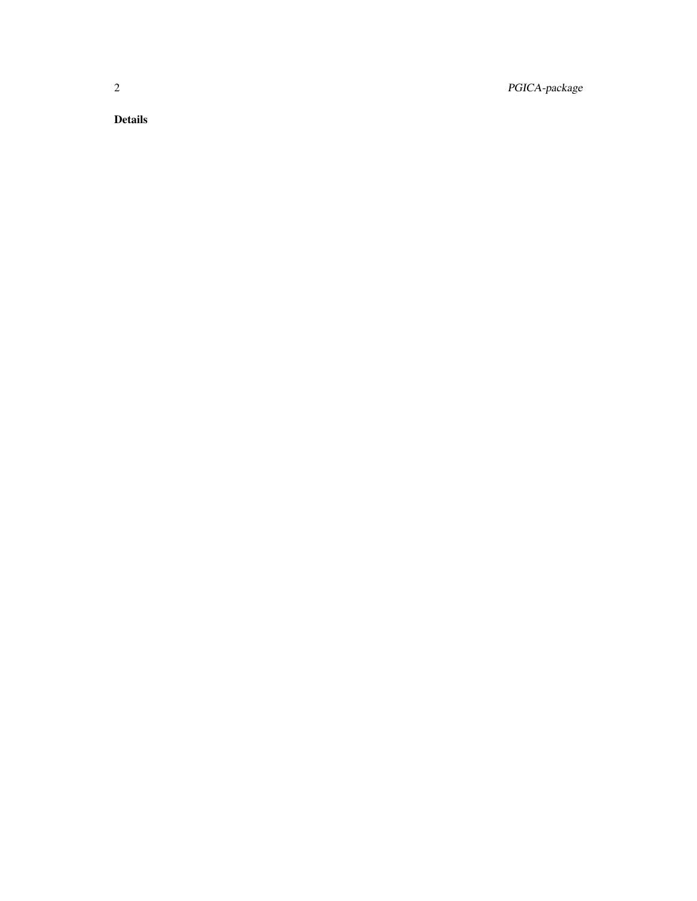2 PGICA-package

Details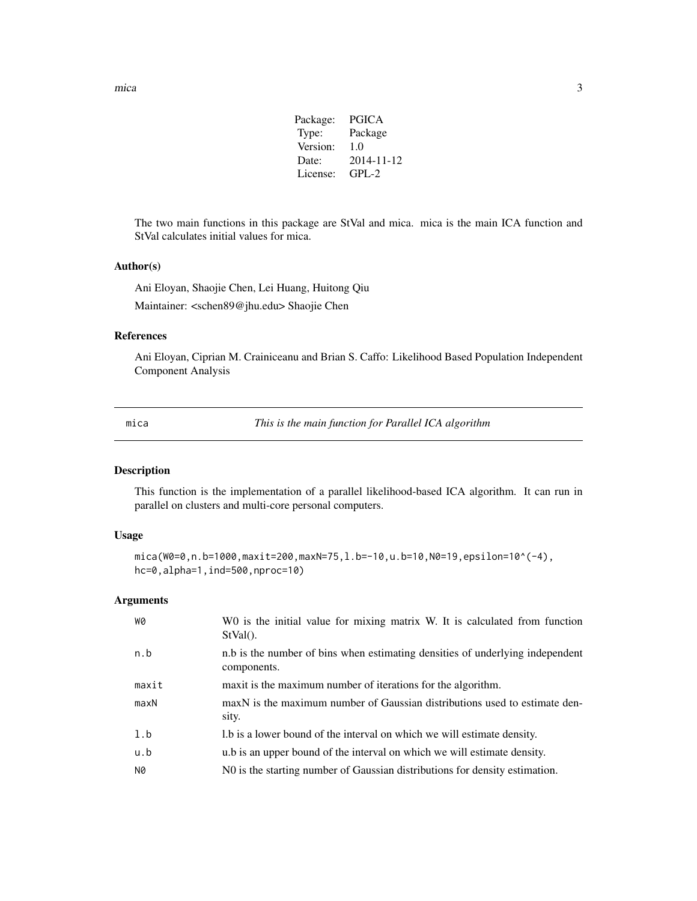| <b>PGICA</b> |
|--------------|
| Package      |
| 1.0          |
| 2014-11-12   |
| $GPL-2$      |
|              |

<span id="page-2-0"></span>The two main functions in this package are StVal and mica. mica is the main ICA function and StVal calculates initial values for mica.

#### Author(s)

Ani Eloyan, Shaojie Chen, Lei Huang, Huitong Qiu Maintainer: <schen89@jhu.edu> Shaojie Chen

#### References

Ani Eloyan, Ciprian M. Crainiceanu and Brian S. Caffo: Likelihood Based Population Independent Component Analysis

mica *This is the main function for Parallel ICA algorithm*

#### Description

This function is the implementation of a parallel likelihood-based ICA algorithm. It can run in parallel on clusters and multi-core personal computers.

#### Usage

```
mica(W0=0,n.b=1000,maxit=200,maxN=75,l.b=-10,u.b=10,N0=19,epsilon=10^(-4),
hc=0,alpha=1,ind=500,nproc=10)
```
#### Arguments

| WØ    | W0 is the initial value for mixing matrix W. It is calculated from function<br>$StVal()$ .   |
|-------|----------------------------------------------------------------------------------------------|
| n.b   | n.b is the number of bins when estimating densities of underlying independent<br>components. |
| maxit | maxit is the maximum number of iterations for the algorithm.                                 |
| maxN  | maxN is the maximum number of Gaussian distributions used to estimate den-<br>sity.          |
| 1.b   | 1.b is a lower bound of the interval on which we will estimate density.                      |
| u.b   | u.b is an upper bound of the interval on which we will estimate density.                     |
| N0    | NO is the starting number of Gaussian distributions for density estimation.                  |
|       |                                                                                              |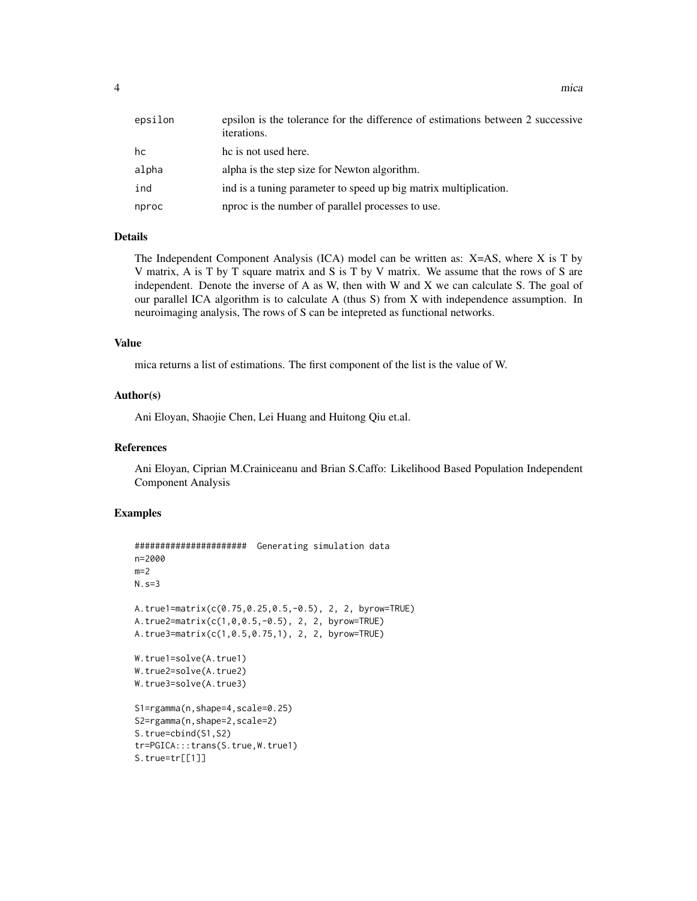| epsilon | epsilon is the tolerance for the difference of estimations between 2 successive<br>iterations. |
|---------|------------------------------------------------------------------------------------------------|
| hc      | he is not used here.                                                                           |
| alpha   | alpha is the step size for Newton algorithm.                                                   |
| ind     | ind is a tuning parameter to speed up big matrix multiplication.                               |
| nproc   | nproc is the number of parallel processes to use.                                              |

#### Details

The Independent Component Analysis (ICA) model can be written as: X=AS, where X is T by V matrix, A is T by T square matrix and S is T by V matrix. We assume that the rows of S are independent. Denote the inverse of A as W, then with W and X we can calculate S. The goal of our parallel ICA algorithm is to calculate A (thus S) from X with independence assumption. In neuroimaging analysis, The rows of S can be intepreted as functional networks.

#### Value

mica returns a list of estimations. The first component of the list is the value of W.

#### Author(s)

Ani Eloyan, Shaojie Chen, Lei Huang and Huitong Qiu et.al.

#### References

Ani Eloyan, Ciprian M.Crainiceanu and Brian S.Caffo: Likelihood Based Population Independent Component Analysis

#### Examples

```
###################### Generating simulation data
n=2000
m=2N.s=3
A.true1=matrix(c(0.75,0.25,0.5,-0.5), 2, 2, byrow=TRUE)
A.true2=matrix(c(1,0,0.5,-0.5), 2, 2, byrow=TRUE)
A.true3=matrix(c(1,0.5,0.75,1), 2, 2, byrow=TRUE)
W.true1=solve(A.true1)
W.true2=solve(A.true2)
W.true3=solve(A.true3)
S1=rgamma(n,shape=4,scale=0.25)
S2=rgamma(n,shape=2,scale=2)
S.true=cbind(S1,S2)
tr=PGICA:::trans(S.true,W.true1)
S.true=tr[[1]]
```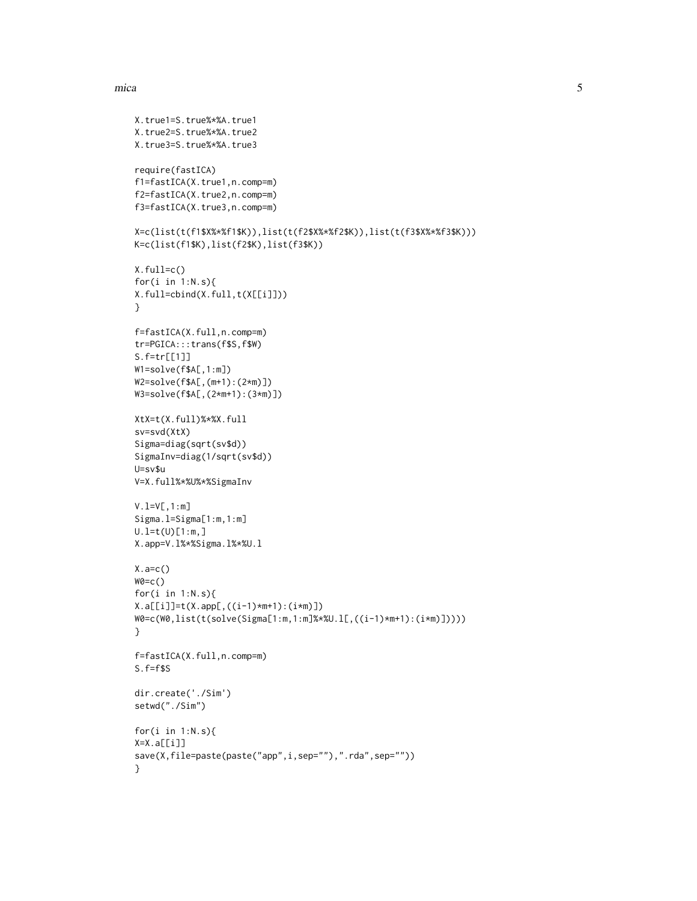#### mica 5 and 5 and 5 and 5 and 5 and 5 and 5 and 5 and 5 and 5 and 5 and 5 and 5 and 5 and 5 and 5 and 5 and 5 and 5 and 5 and 5 and 5 and 5 and 5 and 5 and 5 and 5 and 5 and 5 and 5 and 5 and 5 and 5 and 5 and 5 and 5 and 5

```
X.true1=S.true%*%A.true1
X.true2=S.true%*%A.true2
X.true3=S.true%*%A.true3
require(fastICA)
f1=fastICA(X.true1,n.comp=m)
f2=fastICA(X.true2,n.comp=m)
f3=fastICA(X.true3,n.comp=m)
X=c(list(t(f1$X%*%f1$K)),list(t(f2$X%*%f2$K)),list(t(f3$X%*%f3$K)))
K=c(list(f1$K),list(f2$K),list(f3$K))
X.full=c()
for(i in 1:N.s){
X.full=cbind(X.full,t(X[[i]]))
}
f=fastICA(X.full,n.comp=m)
tr=PGICA:::trans(f$S,f$W)
S.f=tr[[1]]
W1=solve(f$A[,1:m])
W2=solve(f$A[,(m+1):(2*m)])
W3=solve(f$A[,(2*m+1):(3*m)])
XtX=t(X.full)%*%X.full
sv=svd(XtX)
Sigma=diag(sqrt(sv$d))
SigmaInv=diag(1/sqrt(sv$d))
U=sv$u
V=X.full%*%U%*%SigmaInv
V.l=V[,1:m]
Sigma.l=Sigma[1:m,1:m]
U.I=t(U)[1:m,]X.app=V.l%*%Sigma.l%*%U.l
X.a=c()W0=C()for(i in 1:N.s){
X.a[[i]]=t(Xapp[,((i-1)*m+1):(i*m)]W0=c(W0,list(t(solve(Sigma[1:m,1:m]%*%U.l[,((i-1)*m+1):(i*m)]))))
}
f=fastICA(X.full,n.comp=m)
S.f=f$S
dir.create('./Sim')
setwd("./Sim")
for(i in 1:N.s){
X=X.a[[i]]
save(X,file=paste(paste("app",i,sep=""),".rda",sep=""))
}
```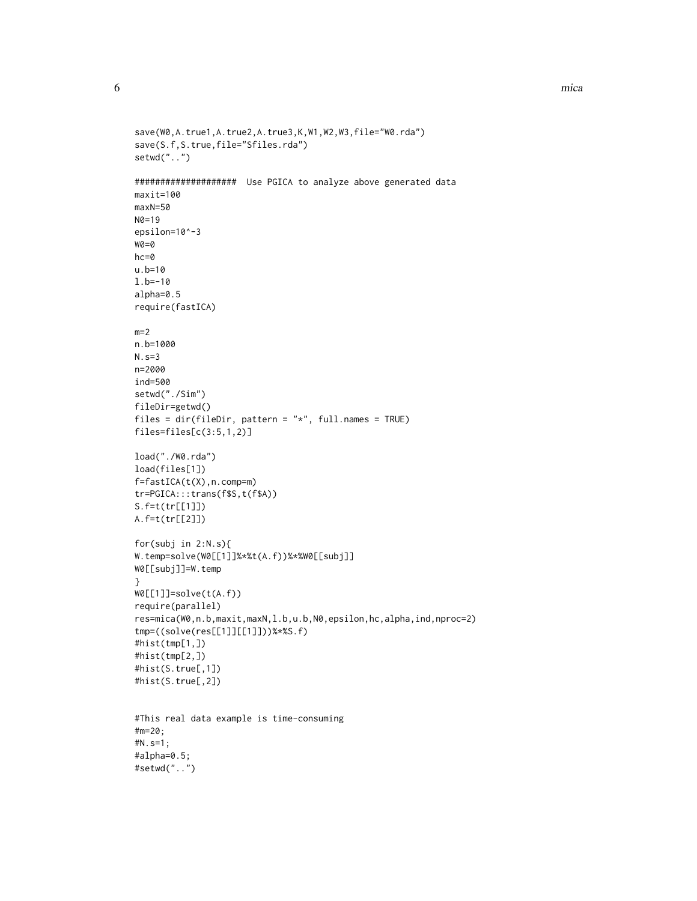6 mica mica and the contract of the contract of the contract of the contract of the contract of the contract of the contract of the contract of the contract of the contract of the contract of the contract of the contract o

```
save(W0,A.true1,A.true2,A.true3,K,W1,W2,W3,file="W0.rda")
save(S.f,S.true,file="Sfiles.rda")
setwd("..")
#################### Use PGICA to analyze above generated data
maxit=100
maxN=50
N0=19
epsilon=10^-3
WQ=Qhc=0
u.b=10
l.b=-10
alpha=0.5
require(fastICA)
m=2n.b=1000
N.s=3
n=2000
ind=500
setwd("./Sim")
fileDir=getwd()
files = dir(fileDir, pattern = "*", full.names = TRUE)
files=files[c(3:5,1,2)]
load("./W0.rda")
load(files[1])
f=fastICA(t(X),n.comp=m)
tr=PGICA:::trans(f$S,t(f$A))
S.f=t(tr[[1]])
A.f=t(tr[[2]])
for(subj in 2:N.s){
W.temp=solve(W0[[1]]%*%t(A.f))%*%W0[[subj]]
W0[[subj]]=W.temp
}
W0[[1]]=solve(t(A.f))
require(parallel)
res=mica(W0,n.b,maxit,maxN,l.b,u.b,N0,epsilon,hc,alpha,ind,nproc=2)
tmp=((solve(res[[1]][[1]]))%*%S.f)
#hist(tmp[1,])
#hist(tmp[2,])
#hist(S.true[,1])
#hist(S.true[,2])
#This real data example is time-consuming
#m=20;
#N.s=1;
#alpha=0.5;
#setwd("..")
```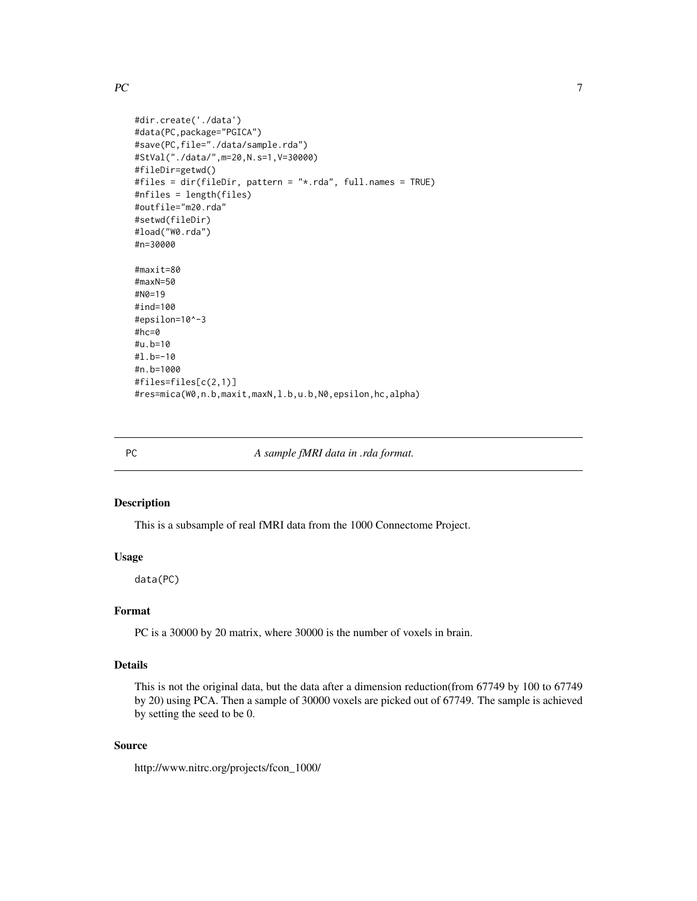#### <span id="page-6-0"></span> $PC$  7

```
#dir.create('./data')
#data(PC,package="PGICA")
#save(PC,file="./data/sample.rda")
#StVal("./data/",m=20,N.s=1,V=30000)
#fileDir=getwd()
#files = dir(fileDir, pattern = "*.rda", full.names = TRUE)
#nfiles = length(files)
#outfile="m20.rda"
#setwd(fileDir)
#load("W0.rda")
#n=30000
#maxit=80
#maxN=50
#N0=19
#ind=100
#epsilon=10^-3
#hc=0
#u.b=10
#l.b=-10
#n.b=1000
#files=files[c(2,1)]
#res=mica(W0,n.b,maxit,maxN,l.b,u.b,N0,epsilon,hc,alpha)
```
PC *A sample fMRI data in .rda format.*

#### Description

This is a subsample of real fMRI data from the 1000 Connectome Project.

#### Usage

data(PC)

#### Format

PC is a 30000 by 20 matrix, where 30000 is the number of voxels in brain.

#### Details

This is not the original data, but the data after a dimension reduction(from 67749 by 100 to 67749 by 20) using PCA. Then a sample of 30000 voxels are picked out of 67749. The sample is achieved by setting the seed to be 0.

#### Source

http://www.nitrc.org/projects/fcon\_1000/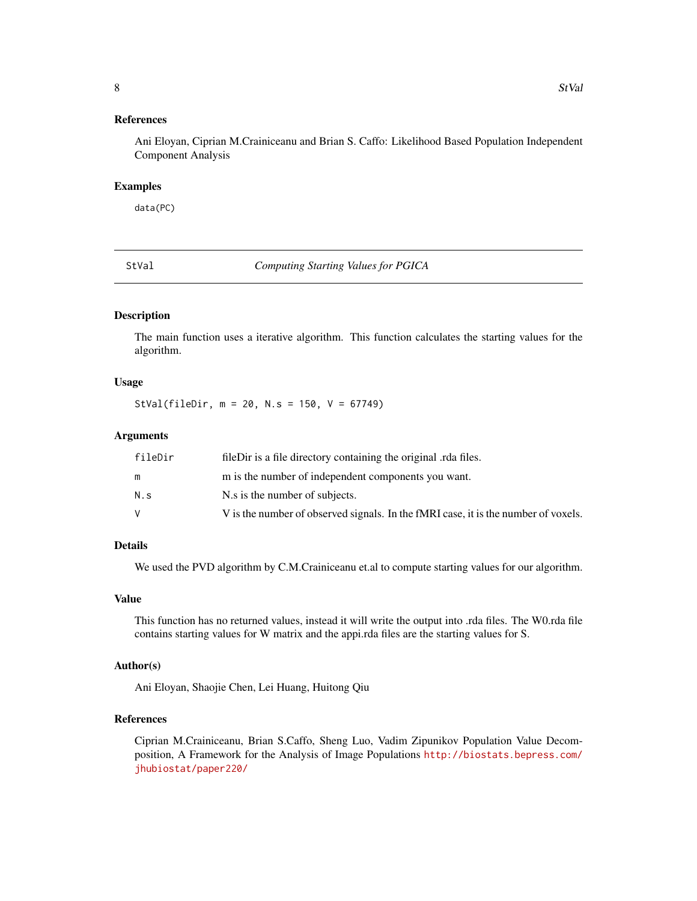#### <span id="page-7-0"></span>References

Ani Eloyan, Ciprian M.Crainiceanu and Brian S. Caffo: Likelihood Based Population Independent Component Analysis

#### Examples

data(PC)

StVal *Computing Starting Values for PGICA*

#### Description

The main function uses a iterative algorithm. This function calculates the starting values for the algorithm.

#### Usage

StVal(fileDir, m = 20, N.s = 150, V = 67749)

#### Arguments

| fileDir | fileDir is a file directory containing the original relatives.                     |
|---------|------------------------------------------------------------------------------------|
|         | m is the number of independent components you want.                                |
| N.s     | N.s is the number of subjects.                                                     |
|         | V is the number of observed signals. In the fMRI case, it is the number of voxels. |

#### Details

We used the PVD algorithm by C.M.Crainiceanu et.al to compute starting values for our algorithm.

#### Value

This function has no returned values, instead it will write the output into .rda files. The W0.rda file contains starting values for W matrix and the appi.rda files are the starting values for S.

#### Author(s)

Ani Eloyan, Shaojie Chen, Lei Huang, Huitong Qiu

#### References

Ciprian M.Crainiceanu, Brian S.Caffo, Sheng Luo, Vadim Zipunikov Population Value Decomposition, A Framework for the Analysis of Image Populations [http://biostats.bepress.com/](http://biostats.bepress.com/jhubiostat/paper220/) [jhubiostat/paper220/](http://biostats.bepress.com/jhubiostat/paper220/)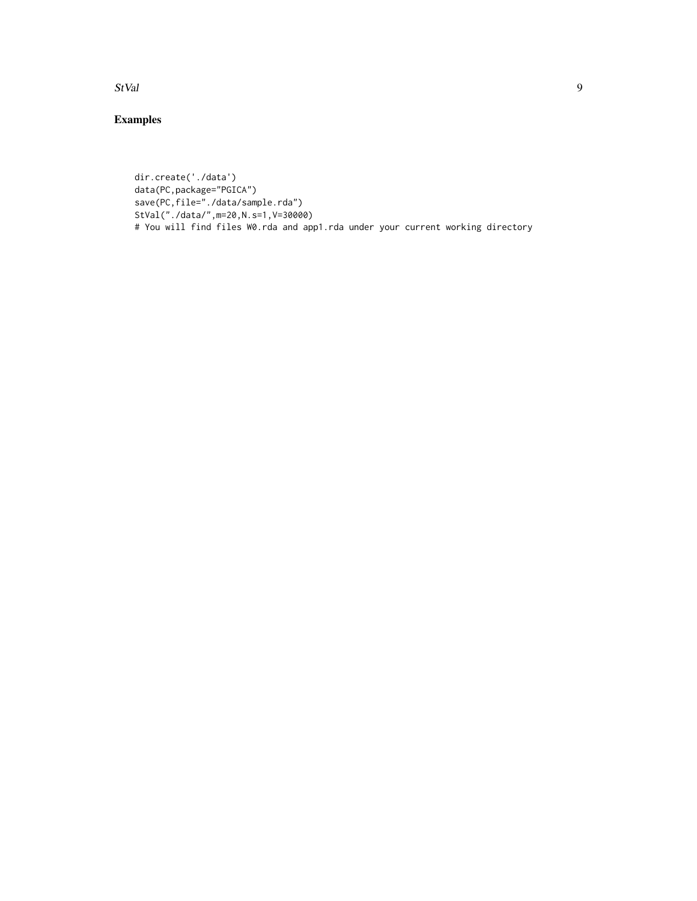StVal 9

#### Examples

```
dir.create('./data')
data(PC,package="PGICA")
save(PC,file="./data/sample.rda")
StVal("./data/",m=20,N.s=1,V=30000)
# You will find files W0.rda and app1.rda under your current working directory
```